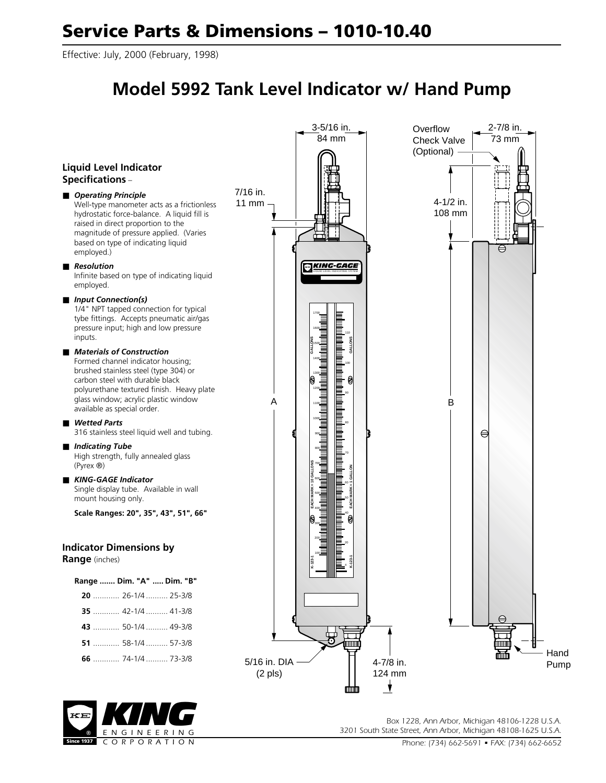Effective: July, 2000 (February, 1998)

## **Model 5992 Tank Level Indicator w/ Hand Pump**





*Box 1228, Ann Arbor, Michigan 48106-1228 U.S.A. 3201 South State Street, Ann Arbor, Michigan 48108-1625 U.S.A.*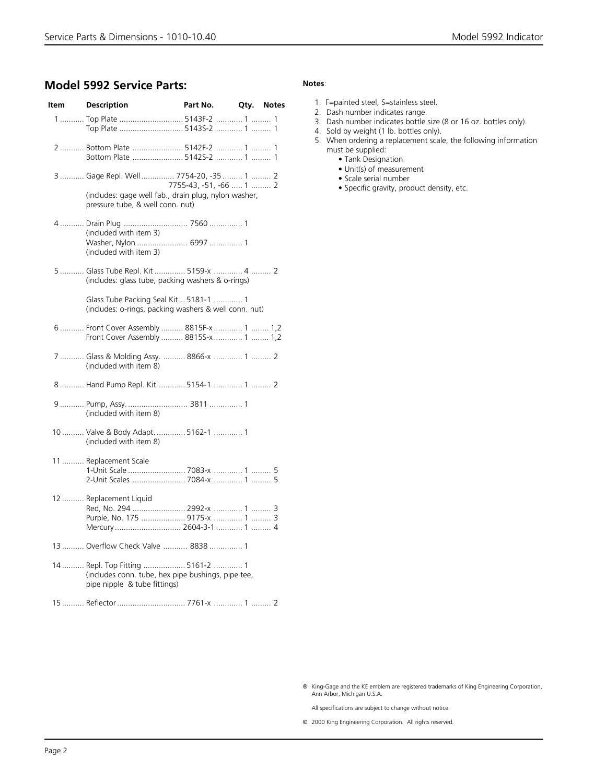## **Model 5992 Service Parts:**

| Item | <b>Description</b>                                                                                                                 | Part No.                | Qty. | <b>Notes</b> |
|------|------------------------------------------------------------------------------------------------------------------------------------|-------------------------|------|--------------|
|      | 1  Top Plate  5143F-2  1  1<br>Top Plate  5143S-2  1  1                                                                            |                         |      |              |
|      | 2  Bottom Plate  5142F-2  1  1<br>Bottom Plate  5142S-2  1  1                                                                      |                         |      |              |
|      | 3  Gage Repl. Well  7754-20, -35  1  2<br>(includes: gage well fab., drain plug, nylon washer,<br>pressure tube, & well conn. nut) | 7755-43, -51, -66  1  2 |      |              |
|      | 4  Drain Plug  7560  1<br>(included with item 3)<br>(included with item 3)                                                         |                         |      |              |
|      | 5  Glass Tube Repl. Kit  5159-x  4  2<br>(includes: glass tube, packing washers & o-rings)                                         |                         |      |              |
|      | Glass Tube Packing Seal Kit  5181-1  1<br>(includes: o-rings, packing washers & well conn. nut)                                    |                         |      |              |
|      | 6 Front Cover Assembly  8815F-x  1  1,2<br>Front Cover Assembly  8815S-x  1  1,2                                                   |                         |      |              |
|      | 7  Glass & Molding Assy.  8866-x  1  2<br>(included with item 8)                                                                   |                         |      |              |
|      | 8  Hand Pump Repl. Kit  5154-1  1  2                                                                                               |                         |      |              |
|      | (included with item 8)                                                                                                             |                         |      |              |
|      | 10  Valve & Body Adapt.  5162-1  1<br>(included with item 8)                                                                       |                         |      |              |
|      | 11  Replacement Scale<br>1-Unit Scale  7083-x  1  5<br>2-Unit Scales  7084-x  1  5                                                 |                         |      |              |
|      | 12  Replacement Liquid<br>Red, No. 294  2992-x  1  3<br>Purple, No. 175  9175-x  1  3<br>Mercury 2604-3-1  1  4                    |                         |      |              |
|      | 13  Overflow Check Valve  8838  1                                                                                                  |                         |      |              |
|      | 14  Repl. Top Fitting  5161-2  1<br>(includes conn. tube, hex pipe bushings, pipe tee,<br>pipe nipple & tube fittings)             |                         |      |              |

15 .......... Reflector............................... 7761-x ............. 1 ......... 2

## **Notes**:

- 1. F=painted steel, S=stainless steel.
- 2. Dash number indicates range.
- 3. Dash number indicates bottle size (8 or 16 oz. bottles only).
- 4. Sold by weight (1 lb. bottles only).
- 5. When ordering a replacement scale, the following information must be supplied:
	- Tank Designation
	- Unit(s) of measurement
	- Scale serial number
	- Specific gravity, product density, etc.

® King-Gage and the KE emblem are registered trademarks of King Engineering Corporation, Ann Arbor, Michigan U.S.A.

All specifications are subject to change without notice.

© 2000 King Engineering Corporation. All rights reserved.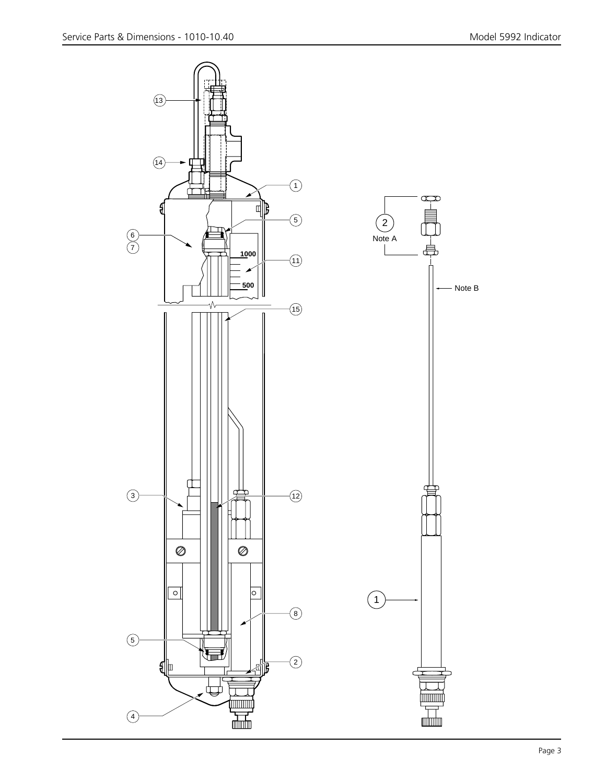